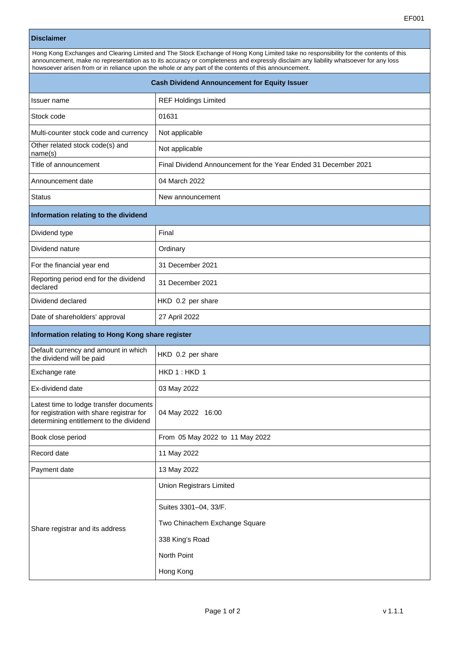## **Disclaimer**

| Hong Kong Exchanges and Clearing Limited and The Stock Exchange of Hong Kong Limited take no responsibility for the contents of this |  |  |
|--------------------------------------------------------------------------------------------------------------------------------------|--|--|
| announcement, make no representation as to its accuracy or completeness and expressly disclaim any liability whatsoever for any loss |  |  |
| howsoever arisen from or in reliance upon the whole or any part of the contents of this announcement.                                |  |  |
|                                                                                                                                      |  |  |

| <b>Cash Dividend Announcement for Equity Issuer</b>                                                                             |                                                                 |  |
|---------------------------------------------------------------------------------------------------------------------------------|-----------------------------------------------------------------|--|
| Issuer name                                                                                                                     | <b>REF Holdings Limited</b>                                     |  |
| Stock code                                                                                                                      | 01631                                                           |  |
| Multi-counter stock code and currency                                                                                           | Not applicable                                                  |  |
| Other related stock code(s) and<br>name(s)                                                                                      | Not applicable                                                  |  |
| Title of announcement                                                                                                           | Final Dividend Announcement for the Year Ended 31 December 2021 |  |
| Announcement date                                                                                                               | 04 March 2022                                                   |  |
| <b>Status</b>                                                                                                                   | New announcement                                                |  |
| Information relating to the dividend                                                                                            |                                                                 |  |
| Dividend type                                                                                                                   | Final                                                           |  |
| Dividend nature                                                                                                                 | Ordinary                                                        |  |
| For the financial year end                                                                                                      | 31 December 2021                                                |  |
| Reporting period end for the dividend<br>declared                                                                               | 31 December 2021                                                |  |
| Dividend declared                                                                                                               | HKD 0.2 per share                                               |  |
| Date of shareholders' approval                                                                                                  | 27 April 2022                                                   |  |
| Information relating to Hong Kong share register                                                                                |                                                                 |  |
| Default currency and amount in which<br>the dividend will be paid                                                               | HKD 0.2 per share                                               |  |
| Exchange rate                                                                                                                   | HKD 1: HKD 1                                                    |  |
| Ex-dividend date                                                                                                                | 03 May 2022                                                     |  |
| Latest time to lodge transfer documents<br>for registration with share registrar for<br>determining entitlement to the dividend | 04 May 2022 16:00                                               |  |
| Book close period                                                                                                               | From 05 May 2022 to 11 May 2022                                 |  |
| Record date                                                                                                                     | 11 May 2022                                                     |  |
| Payment date                                                                                                                    | 13 May 2022                                                     |  |
| Share registrar and its address                                                                                                 | <b>Union Registrars Limited</b>                                 |  |
|                                                                                                                                 | Suites 3301-04, 33/F.                                           |  |
|                                                                                                                                 | Two Chinachem Exchange Square                                   |  |
|                                                                                                                                 | 338 King's Road                                                 |  |
|                                                                                                                                 | North Point                                                     |  |
|                                                                                                                                 | Hong Kong                                                       |  |